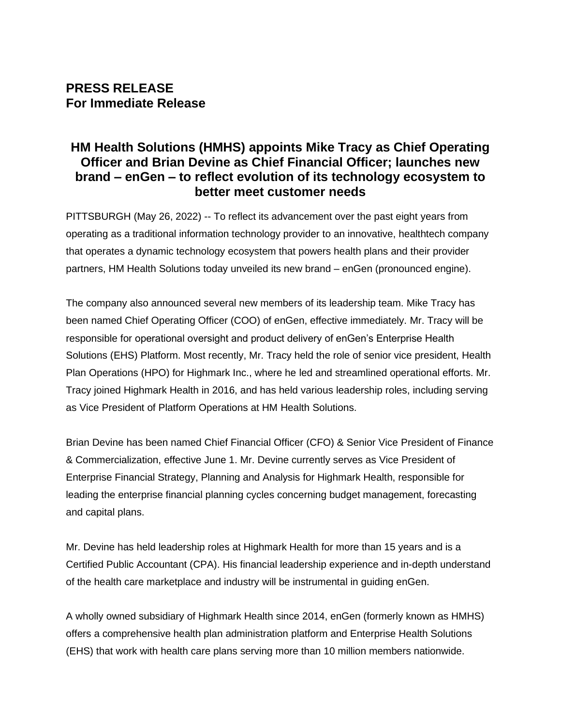## **PRESS RELEASE For Immediate Release**

# **HM Health Solutions (HMHS) appoints Mike Tracy as Chief Operating Officer and Brian Devine as Chief Financial Officer; launches new brand – enGen – to reflect evolution of its technology ecosystem to better meet customer needs**

PITTSBURGH (May 26, 2022) -- To reflect its advancement over the past eight years from operating as a traditional information technology provider to an innovative, healthtech company that operates a dynamic technology ecosystem that powers health plans and their provider partners, HM Health Solutions today unveiled its new brand – enGen (pronounced engine).

The company also announced several new members of its leadership team. Mike Tracy has been named Chief Operating Officer (COO) of enGen, effective immediately. Mr. Tracy will be responsible for operational oversight and product delivery of enGen's Enterprise Health Solutions (EHS) Platform. Most recently, Mr. Tracy held the role of senior vice president, Health Plan Operations (HPO) for Highmark Inc., where he led and streamlined operational efforts. Mr. Tracy joined Highmark Health in 2016, and has held various leadership roles, including serving as Vice President of Platform Operations at HM Health Solutions.

Brian Devine has been named Chief Financial Officer (CFO) & Senior Vice President of Finance & Commercialization, effective June 1. Mr. Devine currently serves as Vice President of Enterprise Financial Strategy, Planning and Analysis for Highmark Health, responsible for leading the enterprise financial planning cycles concerning budget management, forecasting and capital plans.

Mr. Devine has held leadership roles at Highmark Health for more than 15 years and is a Certified Public Accountant (CPA). His financial leadership experience and in-depth understand of the health care marketplace and industry will be instrumental in guiding enGen.

A wholly owned subsidiary of Highmark Health since 2014, enGen (formerly known as HMHS) offers a comprehensive health plan administration platform and Enterprise Health Solutions (EHS) that work with health care plans serving more than 10 million members nationwide.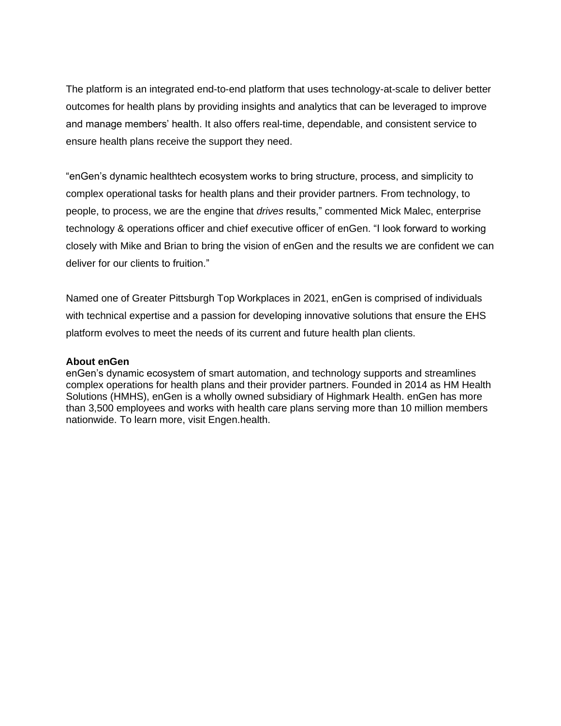The platform is an integrated end-to-end platform that uses technology-at-scale to deliver better outcomes for health plans by providing insights and analytics that can be leveraged to improve and manage members' health. It also offers real-time, dependable, and consistent service to ensure health plans receive the support they need.

"enGen's dynamic healthtech ecosystem works to bring structure, process, and simplicity to complex operational tasks for health plans and their provider partners. From technology, to people, to process, we are the engine that *drives* results," commented Mick Malec, enterprise technology & operations officer and chief executive officer of enGen. "I look forward to working closely with Mike and Brian to bring the vision of enGen and the results we are confident we can deliver for our clients to fruition."

Named one of Greater Pittsburgh Top Workplaces in 2021, enGen is comprised of individuals with technical expertise and a passion for developing innovative solutions that ensure the EHS platform evolves to meet the needs of its current and future health plan clients.

#### **About enGen**

enGen's dynamic ecosystem of smart automation, and technology supports and streamlines complex operations for health plans and their provider partners. Founded in 2014 as HM Health Solutions (HMHS), enGen is a wholly owned subsidiary of Highmark Health. enGen has more than 3,500 employees and works with health care plans serving more than 10 million members nationwide. To learn more, visit Engen.health.